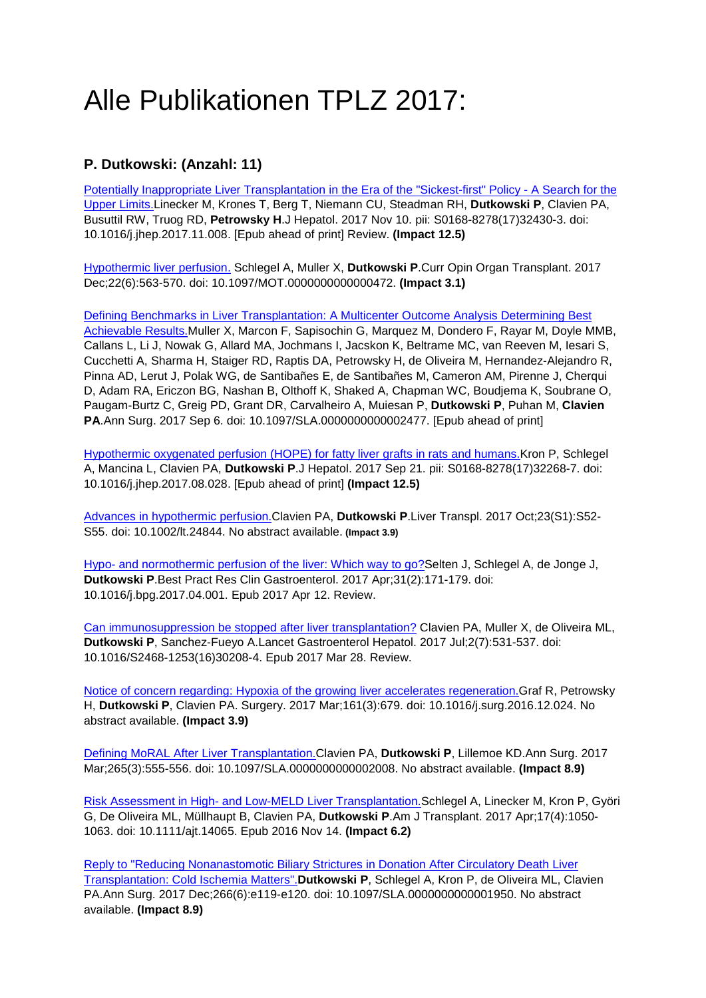# Alle Publikationen TPLZ 2017:

# **P. Dutkowski: (Anzahl: 11)**

[Potentially Inappropriate Liver Transplantation in the Era of the "Sickest-first" Policy -](https://www.ncbi.nlm.nih.gov/pubmed/29133246) A Search for the [Upper Limits.L](https://www.ncbi.nlm.nih.gov/pubmed/29133246)inecker M, Krones T, Berg T, Niemann CU, Steadman RH, **Dutkowski P**, Clavien PA, Busuttil RW, Truog RD, **Petrowsky H**.J Hepatol. 2017 Nov 10. pii: S0168-8278(17)32430-3. doi: 10.1016/j.jhep.2017.11.008. [Epub ahead of print] Review. **(Impact 12.5)**

[Hypothermic liver perfusion.](https://www.ncbi.nlm.nih.gov/pubmed/28922301) Schlegel A, Muller X, **Dutkowski P**.Curr Opin Organ Transplant. 2017 Dec;22(6):563-570. doi: 10.1097/MOT.0000000000000472. **(Impact 3.1)**

[Defining Benchmarks in Liver Transplantation: A Multicenter](https://www.ncbi.nlm.nih.gov/pubmed/28885508) [Outcome Analysis Determining Best](https://www.ncbi.nlm.nih.gov/pubmed/28885508)  [Achievable Results.M](https://www.ncbi.nlm.nih.gov/pubmed/28885508)uller X, Marcon F, Sapisochin G, Marquez M, Dondero F, Rayar M, Doyle MMB, Callans L, Li J, Nowak G, Allard MA, Jochmans I, Jacskon K, Beltrame MC, van Reeven M, Iesari S, Cucchetti A, Sharma H, Staiger RD, Raptis DA, Petrowsky H, de Oliveira M, Hernandez-Alejandro R, Pinna AD, Lerut J, Polak WG, de Santibañes E, de Santibañes M, Cameron AM, Pirenne J, Cherqui D, Adam RA, Ericzon BG, Nashan B, Olthoff K, Shaked A, Chapman WC, Boudjema K, Soubrane O, Paugam-Burtz C, Greig PD, Grant DR, Carvalheiro A, Muiesan P, **Dutkowski P**, Puhan M, **Clavien PA**.Ann Surg. 2017 Sep 6. doi: 10.1097/SLA.0000000000002477. [Epub ahead of print]

[Hypothermic oxygenated perfusion \(HOPE\) for fatty liver grafts in rats and humans.K](https://www.ncbi.nlm.nih.gov/pubmed/28870676)ron P, Schlegel A, Mancina L, Clavien PA, **Dutkowski P**.J Hepatol. 2017 Sep 21. pii: S0168-8278(17)32268-7. doi: 10.1016/j.jhep.2017.08.028. [Epub ahead of print] **(Impact 12.5)**

[Advances in hypothermic perfusion.C](https://www.ncbi.nlm.nih.gov/pubmed/28815993)lavien PA, **Dutkowski P**.Liver Transpl. 2017 Oct;23(S1):S52- S55. doi: 10.1002/lt.24844. No abstract available. **(Impact 3.9)**

[Hypo-](https://www.ncbi.nlm.nih.gov/pubmed/28624105) and [normothermic](https://www.ncbi.nlm.nih.gov/pubmed/28624105) [perfusion of the liver: Which way to go?S](https://www.ncbi.nlm.nih.gov/pubmed/28624105)elten J, Schlegel A, de Jonge J, **Dutkowski P**.Best Pract Res Clin Gastroenterol. 2017 Apr;31(2):171-179. doi: 10.1016/j.bpg.2017.04.001. Epub 2017 Apr 12. Review.

[Can immunosuppression be stopped after liver transplantation?](https://www.ncbi.nlm.nih.gov/pubmed/28606879) Clavien PA, Muller X, de Oliveira ML, **Dutkowski P**, Sanchez-Fueyo A.Lancet Gastroenterol Hepatol. 2017 Jul;2(7):531-537. doi: 10.1016/S2468-1253(16)30208-4. Epub 2017 Mar 28. Review.

[Notice of concern regarding: Hypoxia of the growing liver accelerates regeneration.G](https://www.ncbi.nlm.nih.gov/pubmed/28328471)raf R, Petrowsky H, **Dutkowski P**, Clavien PA. Surgery. 2017 Mar;161(3):679. doi: 10.1016/j.surg.2016.12.024. No abstract available. **(Impact 3.9)**

[Defining MoRAL](https://www.ncbi.nlm.nih.gov/pubmed/27759624) [After Liver Transplantation.C](https://www.ncbi.nlm.nih.gov/pubmed/27759624)lavien PA, **Dutkowski P**, Lillemoe KD.Ann Surg. 2017 Mar;265(3):555-556. doi: 10.1097/SLA.0000000000002008. No abstract available. **(Impact 8.9)**

[Risk Assessment in High-](https://www.ncbi.nlm.nih.gov/pubmed/27676319) and Low-MELD Liver [Transplantation.S](https://www.ncbi.nlm.nih.gov/pubmed/27676319)chlegel A, Linecker M, Kron P, Györi G, De Oliveira ML, Müllhaupt B, Clavien PA, **Dutkowski P**.Am J Transplant. 2017 Apr;17(4):1050- 1063. doi: 10.1111/ajt.14065. Epub 2016 Nov 14. **(Impact 6.2)**

[Reply to "Reducing Nonanastomotic](https://www.ncbi.nlm.nih.gov/pubmed/27479132) [Biliary Strictures in Donation After Circulatory Death Liver](https://www.ncbi.nlm.nih.gov/pubmed/27479132)  [Transplantation: Cold Ischemia Matters".](https://www.ncbi.nlm.nih.gov/pubmed/27479132)**Dutkowski P**, Schlegel A, Kron P, de Oliveira ML, Clavien PA.Ann Surg. 2017 Dec;266(6):e119-e120. doi: 10.1097/SLA.0000000000001950. No abstract available. **(Impact 8.9)**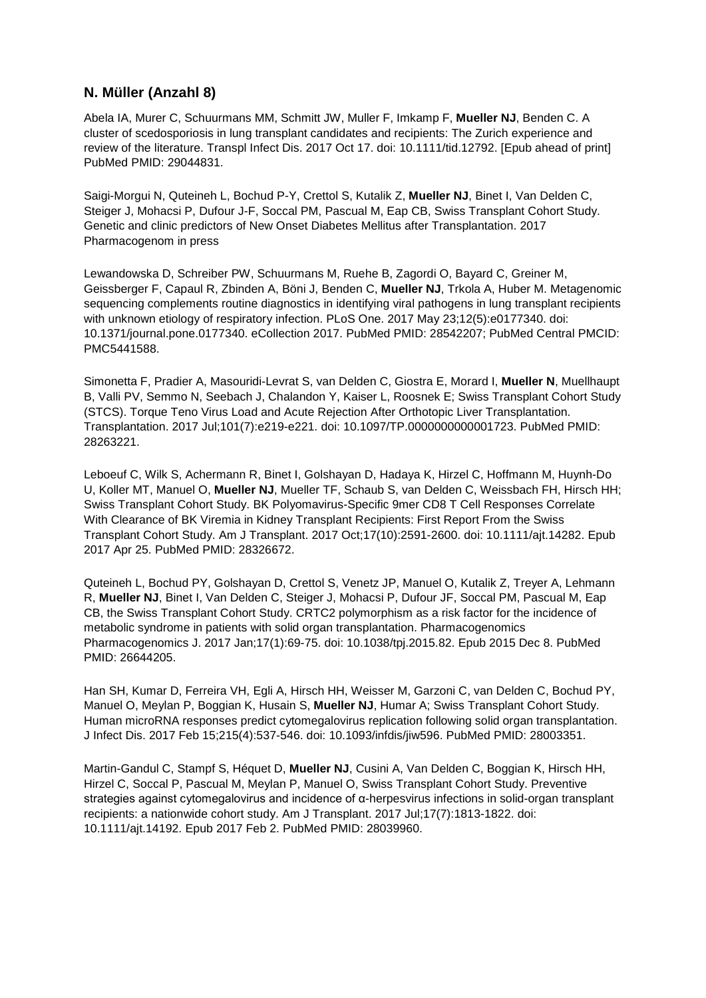#### **N. Müller (Anzahl 8)**

Abela IA, Murer C, Schuurmans MM, Schmitt JW, Muller F, Imkamp F, **Mueller NJ**, Benden C. A cluster of scedosporiosis in lung transplant candidates and recipients: The Zurich experience and review of the literature. Transpl Infect Dis. 2017 Oct 17. doi: 10.1111/tid.12792. [Epub ahead of print] PubMed PMID: 29044831.

Saigi-Morgui N, Quteineh L, Bochud P-Y, Crettol S, Kutalik Z, **Mueller NJ**, Binet I, Van Delden C, Steiger J, Mohacsi P, Dufour J-F, Soccal PM, Pascual M, Eap CB, Swiss Transplant Cohort Study. Genetic and clinic predictors of New Onset Diabetes Mellitus after Transplantation. 2017 Pharmacogenom in press

Lewandowska D, Schreiber PW, Schuurmans M, Ruehe B, Zagordi O, Bayard C, Greiner M, Geissberger F, Capaul R, Zbinden A, Böni J, Benden C, **Mueller NJ**, Trkola A, Huber M. Metagenomic sequencing complements routine diagnostics in identifying viral pathogens in lung transplant recipients with unknown etiology of respiratory infection. PLoS One. 2017 May 23;12(5):e0177340. doi: 10.1371/journal.pone.0177340. eCollection 2017. PubMed PMID: 28542207; PubMed Central PMCID: PMC5441588.

Simonetta F, Pradier A, Masouridi-Levrat S, van Delden C, Giostra E, Morard I, **Mueller N**, Muellhaupt B, Valli PV, Semmo N, Seebach J, Chalandon Y, Kaiser L, Roosnek E; Swiss Transplant Cohort Study (STCS). Torque Teno Virus Load and Acute Rejection After Orthotopic Liver Transplantation. Transplantation. 2017 Jul;101(7):e219-e221. doi: 10.1097/TP.0000000000001723. PubMed PMID: 28263221.

Leboeuf C, Wilk S, Achermann R, Binet I, Golshayan D, Hadaya K, Hirzel C, Hoffmann M, Huynh-Do U, Koller MT, Manuel O, **Mueller NJ**, Mueller TF, Schaub S, van Delden C, Weissbach FH, Hirsch HH; Swiss Transplant Cohort Study. BK Polyomavirus-Specific 9mer CD8 T Cell Responses Correlate With Clearance of BK Viremia in Kidney Transplant Recipients: First Report From the Swiss Transplant Cohort Study. Am J Transplant. 2017 Oct;17(10):2591-2600. doi: 10.1111/ajt.14282. Epub 2017 Apr 25. PubMed PMID: 28326672.

Quteineh L, Bochud PY, Golshayan D, Crettol S, Venetz JP, Manuel O, Kutalik Z, Treyer A, Lehmann R, **Mueller NJ**, Binet I, Van Delden C, Steiger J, Mohacsi P, Dufour JF, Soccal PM, Pascual M, Eap CB, the Swiss Transplant Cohort Study. CRTC2 polymorphism as a risk factor for the incidence of metabolic syndrome in patients with solid organ transplantation. Pharmacogenomics Pharmacogenomics J. 2017 Jan;17(1):69-75. doi: 10.1038/tpj.2015.82. Epub 2015 Dec 8. PubMed PMID: 26644205.

Han SH, Kumar D, Ferreira VH, Egli A, Hirsch HH, Weisser M, Garzoni C, van Delden C, Bochud PY, Manuel O, Meylan P, Boggian K, Husain S, **Mueller NJ**, Humar A; Swiss Transplant Cohort Study. Human microRNA responses predict cytomegalovirus replication following solid organ transplantation. J Infect Dis. 2017 Feb 15;215(4):537-546. doi: 10.1093/infdis/jiw596. PubMed PMID: 28003351.

Martin-Gandul C, Stampf S, Héquet D, **Mueller NJ**, Cusini A, Van Delden C, Boggian K, Hirsch HH, Hirzel C, Soccal P, Pascual M, Meylan P, Manuel O, Swiss Transplant Cohort Study. Preventive strategies against cytomegalovirus and incidence of α-herpesvirus infections in solid-organ transplant recipients: a nationwide cohort study. Am J Transplant. 2017 Jul;17(7):1813-1822. doi: 10.1111/ajt.14192. Epub 2017 Feb 2. PubMed PMID: 28039960.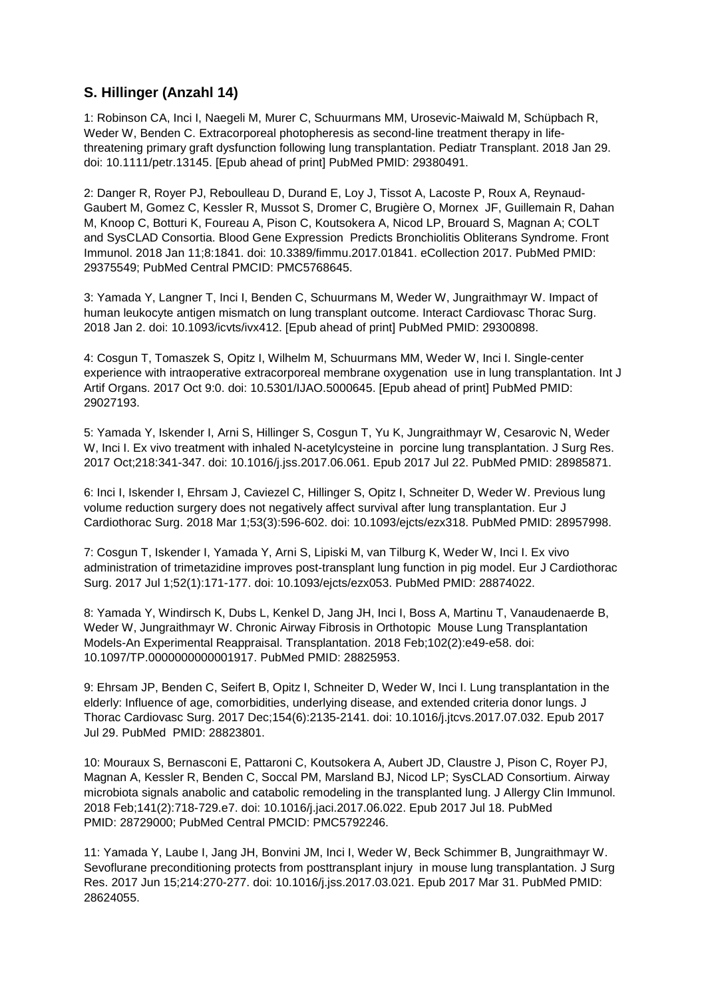#### **S. Hillinger (Anzahl 14)**

1: Robinson CA, Inci I, Naegeli M, Murer C, Schuurmans MM, Urosevic-Maiwald M, Schüpbach R, Weder W, Benden C. Extracorporeal photopheresis as second-line treatment therapy in lifethreatening primary graft dysfunction following lung transplantation. Pediatr Transplant. 2018 Jan 29. doi: 10.1111/petr.13145. [Epub ahead of print] PubMed PMID: 29380491.

2: Danger R, Royer PJ, Reboulleau D, Durand E, Loy J, Tissot A, Lacoste P, Roux A, Reynaud-Gaubert M, Gomez C, Kessler R, Mussot S, Dromer C, Brugière O, Mornex JF, Guillemain R, Dahan M, Knoop C, Botturi K, Foureau A, Pison C, Koutsokera A, Nicod LP, Brouard S, Magnan A; COLT and SysCLAD Consortia. Blood Gene Expression Predicts Bronchiolitis Obliterans Syndrome. Front Immunol. 2018 Jan 11;8:1841. doi: 10.3389/fimmu.2017.01841. eCollection 2017. PubMed PMID: 29375549; PubMed Central PMCID: PMC5768645.

3: Yamada Y, Langner T, Inci I, Benden C, Schuurmans M, Weder W, Jungraithmayr W. Impact of human leukocyte antigen mismatch on lung transplant outcome. Interact Cardiovasc Thorac Surg. 2018 Jan 2. doi: 10.1093/icvts/ivx412. [Epub ahead of print] PubMed PMID: 29300898.

4: Cosgun T, Tomaszek S, Opitz I, Wilhelm M, Schuurmans MM, Weder W, Inci I. Single-center experience with intraoperative extracorporeal membrane oxygenation use in lung transplantation. Int J Artif Organs. 2017 Oct 9:0. doi: 10.5301/IJAO.5000645. [Epub ahead of print] PubMed PMID: 29027193.

5: Yamada Y, Iskender I, Arni S, Hillinger S, Cosgun T, Yu K, Jungraithmayr W, Cesarovic N, Weder W, Inci I. Ex vivo treatment with inhaled N-acetylcysteine in porcine lung transplantation. J Surg Res. 2017 Oct;218:341-347. doi: 10.1016/j.jss.2017.06.061. Epub 2017 Jul 22. PubMed PMID: 28985871.

6: Inci I, Iskender I, Ehrsam J, Caviezel C, Hillinger S, Opitz I, Schneiter D, Weder W. Previous lung volume reduction surgery does not negatively affect survival after lung transplantation. Eur J Cardiothorac Surg. 2018 Mar 1;53(3):596-602. doi: 10.1093/ejcts/ezx318. PubMed PMID: 28957998.

7: Cosgun T, Iskender I, Yamada Y, Arni S, Lipiski M, van Tilburg K, Weder W, Inci I. Ex vivo administration of trimetazidine improves post-transplant lung function in pig model. Eur J Cardiothorac Surg. 2017 Jul 1;52(1):171-177. doi: 10.1093/ejcts/ezx053. PubMed PMID: 28874022.

8: Yamada Y, Windirsch K, Dubs L, Kenkel D, Jang JH, Inci I, Boss A, Martinu T, Vanaudenaerde B, Weder W, Jungraithmayr W. Chronic Airway Fibrosis in Orthotopic Mouse Lung Transplantation Models-An Experimental Reappraisal. Transplantation. 2018 Feb;102(2):e49-e58. doi: 10.1097/TP.0000000000001917. PubMed PMID: 28825953.

9: Ehrsam JP, Benden C, Seifert B, Opitz I, Schneiter D, Weder W, Inci I. Lung transplantation in the elderly: Influence of age, comorbidities, underlying disease, and extended criteria donor lungs. J Thorac Cardiovasc Surg. 2017 Dec;154(6):2135-2141. doi: 10.1016/j.jtcvs.2017.07.032. Epub 2017 Jul 29. PubMed PMID: 28823801.

10: Mouraux S, Bernasconi E, Pattaroni C, Koutsokera A, Aubert JD, Claustre J, Pison C, Royer PJ, Magnan A, Kessler R, Benden C, Soccal PM, Marsland BJ, Nicod LP; SysCLAD Consortium. Airway microbiota signals anabolic and catabolic remodeling in the transplanted lung. J Allergy Clin Immunol. 2018 Feb;141(2):718-729.e7. doi: 10.1016/j.jaci.2017.06.022. Epub 2017 Jul 18. PubMed PMID: 28729000; PubMed Central PMCID: PMC5792246.

11: Yamada Y, Laube I, Jang JH, Bonvini JM, Inci I, Weder W, Beck Schimmer B, Jungraithmayr W. Sevoflurane preconditioning protects from posttransplant injury in mouse lung transplantation. J Surg Res. 2017 Jun 15;214:270-277. doi: 10.1016/j.jss.2017.03.021. Epub 2017 Mar 31. PubMed PMID: 28624055.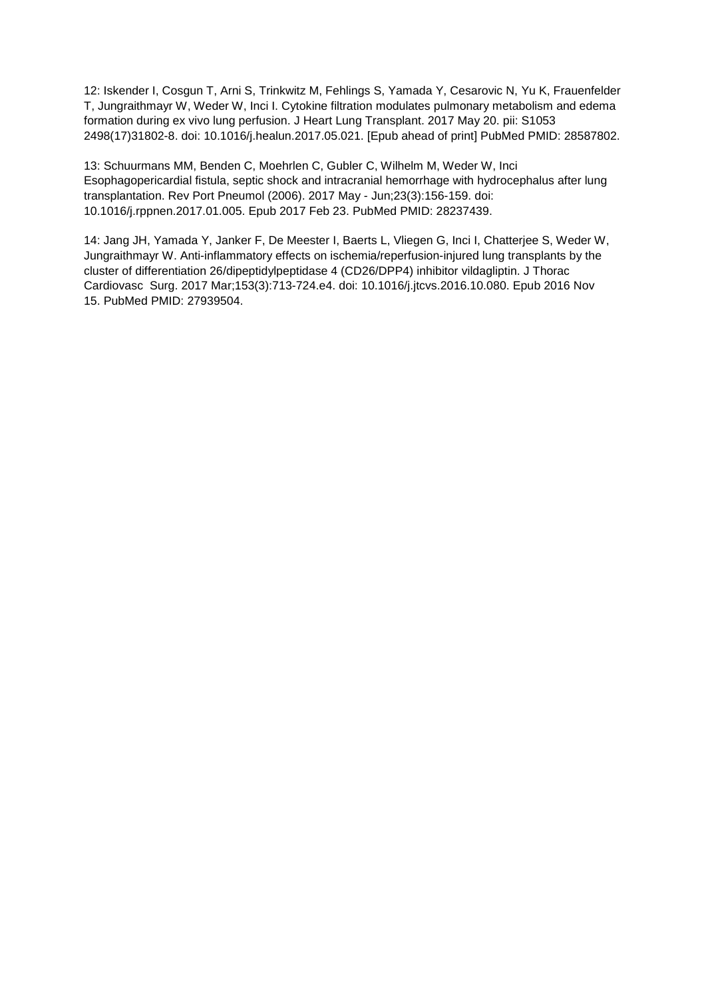12: Iskender I, Cosgun T, Arni S, Trinkwitz M, Fehlings S, Yamada Y, Cesarovic N, Yu K, Frauenfelder T, Jungraithmayr W, Weder W, Inci I. Cytokine filtration modulates pulmonary metabolism and edema formation during ex vivo lung perfusion. J Heart Lung Transplant. 2017 May 20. pii: S1053 2498(17)31802-8. doi: 10.1016/j.healun.2017.05.021. [Epub ahead of print] PubMed PMID: 28587802.

13: Schuurmans MM, Benden C, Moehrlen C, Gubler C, Wilhelm M, Weder W, Inci Esophagopericardial fistula, septic shock and intracranial hemorrhage with hydrocephalus after lung transplantation. Rev Port Pneumol (2006). 2017 May - Jun;23(3):156-159. doi: 10.1016/j.rppnen.2017.01.005. Epub 2017 Feb 23. PubMed PMID: 28237439.

14: Jang JH, Yamada Y, Janker F, De Meester I, Baerts L, Vliegen G, Inci I, Chatterjee S, Weder W, Jungraithmayr W. Anti-inflammatory effects on ischemia/reperfusion-injured lung transplants by the cluster of differentiation 26/dipeptidylpeptidase 4 (CD26/DPP4) inhibitor vildagliptin. J Thorac Cardiovasc Surg. 2017 Mar;153(3):713-724.e4. doi: 10.1016/j.jtcvs.2016.10.080. Epub 2016 Nov 15. PubMed PMID: 27939504.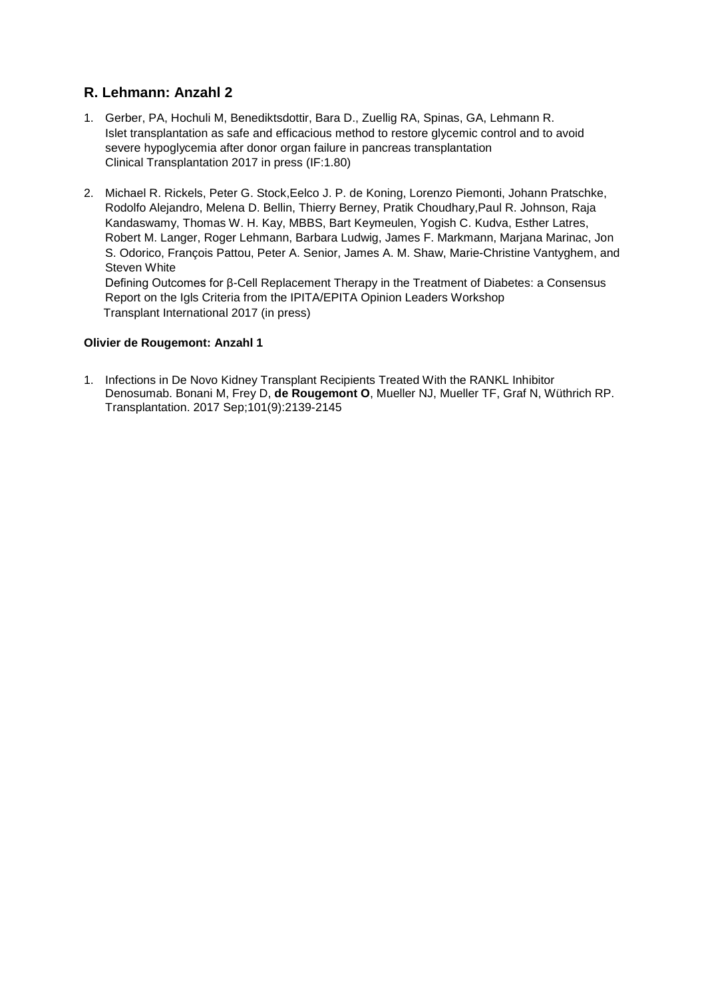### **R. Lehmann: Anzahl 2**

- 1. Gerber, PA, Hochuli M, Benediktsdottir, Bara D., Zuellig RA, Spinas, GA, Lehmann R. Islet transplantation as safe and efficacious method to restore glycemic control and to avoid severe hypoglycemia after donor organ failure in pancreas transplantation Clinical Transplantation 2017 in press (IF:1.80)
- 2. Michael R. Rickels, Peter G. Stock,Eelco J. P. de Koning, Lorenzo Piemonti, Johann Pratschke, Rodolfo Alejandro, Melena D. Bellin, Thierry Berney, Pratik Choudhary,Paul R. Johnson, Raja Kandaswamy, Thomas W. H. Kay, MBBS, Bart Keymeulen, Yogish C. Kudva, Esther Latres, Robert M. Langer, Roger Lehmann, Barbara Ludwig, James F. Markmann, Marjana Marinac, Jon S. Odorico, François Pattou, Peter A. Senior, James A. M. Shaw, Marie-Christine Vantyghem, and Steven White Defining Outcomes for β-Cell Replacement Therapy in the Treatment of Diabetes: a Consensus

Report on the Igls Criteria from the IPITA/EPITA Opinion Leaders Workshop Transplant International 2017 (in press)

#### **Olivier de Rougemont: Anzahl 1**

1. Infections in De Novo Kidney Transplant Recipients Treated With the RANKL Inhibitor Denosumab. Bonani M, Frey D, **de Rougemont O**, Mueller NJ, Mueller TF, Graf N, Wüthrich RP. Transplantation. 2017 Sep;101(9):2139-2145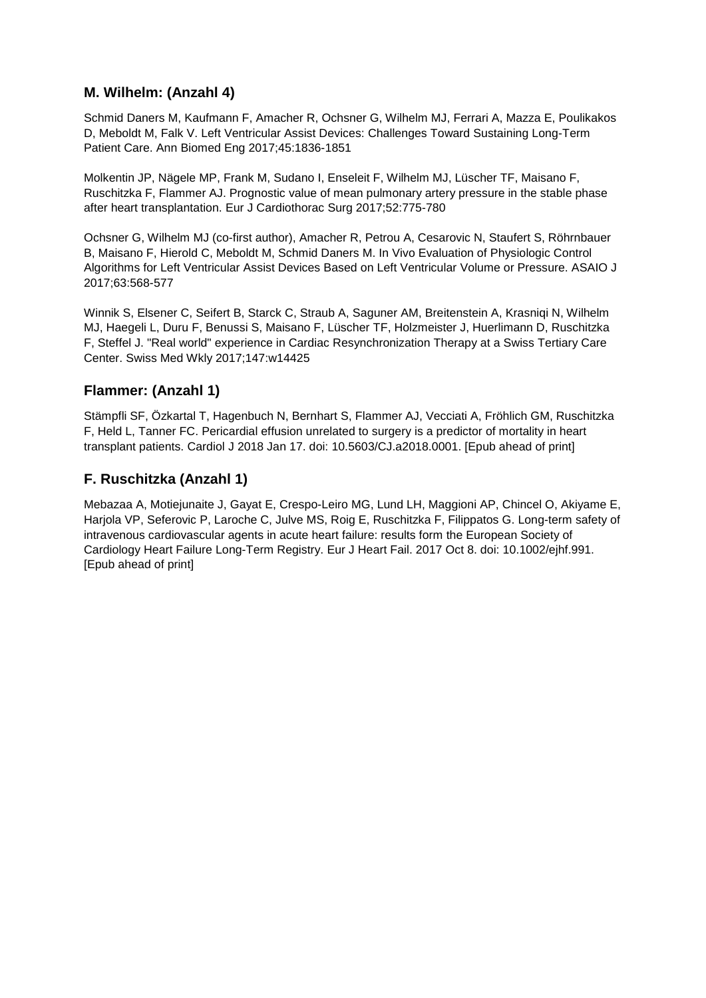#### **M. Wilhelm: (Anzahl 4)**

Schmid Daners M, Kaufmann F, Amacher R, Ochsner G, Wilhelm MJ, Ferrari A, Mazza E, Poulikakos D, Meboldt M, Falk V. Left Ventricular Assist Devices: Challenges Toward Sustaining Long-Term Patient Care. Ann Biomed Eng 2017;45:1836-1851

Molkentin JP, Nägele MP, Frank M, Sudano I, Enseleit F, Wilhelm MJ, Lüscher TF, Maisano F, Ruschitzka F, Flammer AJ. Prognostic value of mean pulmonary artery pressure in the stable phase after heart transplantation. Eur J Cardiothorac Surg 2017;52:775-780

Ochsner G, Wilhelm MJ (co-first author), Amacher R, Petrou A, Cesarovic N, Staufert S, Röhrnbauer B, Maisano F, Hierold C, Meboldt M, Schmid Daners M. In Vivo Evaluation of Physiologic Control Algorithms for Left Ventricular Assist Devices Based on Left Ventricular Volume or Pressure. ASAIO J 2017;63:568-577

Winnik S, Elsener C, Seifert B, Starck C, Straub A, Saguner AM, Breitenstein A, Krasniqi N, Wilhelm MJ, Haegeli L, Duru F, Benussi S, Maisano F, Lüscher TF, Holzmeister J, Huerlimann D, Ruschitzka F, Steffel J. "Real world" experience in Cardiac Resynchronization Therapy at a Swiss Tertiary Care Center. Swiss Med Wkly 2017;147:w14425

#### **Flammer: (Anzahl 1)**

Stämpfli SF, Özkartal T, Hagenbuch N, Bernhart S, Flammer AJ, Vecciati A, Fröhlich GM, Ruschitzka F, Held L, Tanner FC. Pericardial effusion unrelated to surgery is a predictor of mortality in heart transplant patients. Cardiol J 2018 Jan 17. doi: 10.5603/CJ.a2018.0001. [Epub ahead of print]

#### **F. Ruschitzka (Anzahl 1)**

Mebazaa A, Motiejunaite J, Gayat E, Crespo-Leiro MG, Lund LH, Maggioni AP, Chincel O, Akiyame E, Harjola VP, Seferovic P, Laroche C, Julve MS, Roig E, Ruschitzka F, Filippatos G. Long-term safety of intravenous cardiovascular agents in acute heart failure: results form the European Society of Cardiology Heart Failure Long-Term Registry. Eur J Heart Fail. 2017 Oct 8. doi: 10.1002/ejhf.991. [Epub ahead of print]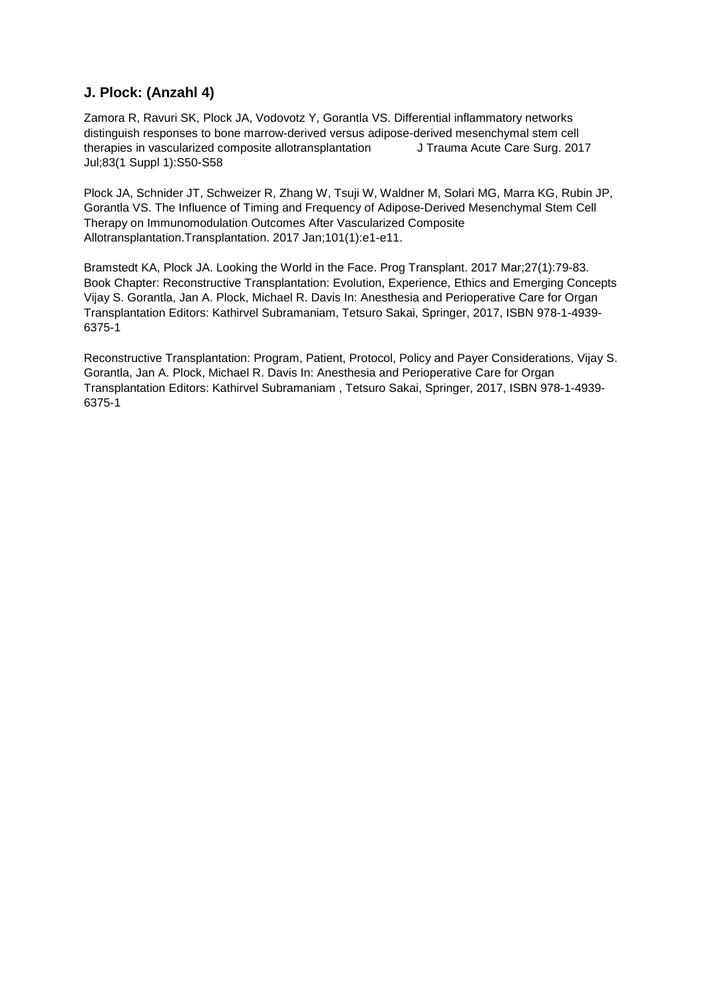## **J. Plock: (Anzahl 4)**

Zamora R, Ravuri SK, Plock JA, Vodovotz Y, Gorantla VS. Differential inflammatory networks distinguish responses to bone marrow-derived versus adipose-derived mesenchymal stem cell therapies in vascularized composite allotransplantation J Trauma Acute Care Surg. 2017 Jul;83(1 Suppl 1):S50-S58

Plock JA, Schnider JT, Schweizer R, Zhang W, Tsuji W, Waldner M, Solari MG, Marra KG, Rubin JP, Gorantla VS. The Influence of Timing and Frequency of Adipose-Derived Mesenchymal Stem Cell Therapy on Immunomodulation Outcomes After Vascularized Composite Allotransplantation.Transplantation. 2017 Jan;101(1):e1-e11.

Bramstedt KA, Plock JA. Looking the World in the Face. Prog Transplant. 2017 Mar;27(1):79-83. Book Chapter: Reconstructive Transplantation: Evolution, Experience, Ethics and Emerging Concepts Vijay S. Gorantla, Jan A. Plock, Michael R. Davis In: Anesthesia and Perioperative Care for Organ Transplantation Editors: Kathirvel Subramaniam, Tetsuro Sakai, Springer, 2017, ISBN 978-1-4939- 6375-1

Reconstructive Transplantation: Program, Patient, Protocol, Policy and Payer Considerations, Vijay S. Gorantla, Jan A. Plock, Michael R. Davis In: Anesthesia and Perioperative Care for Organ Transplantation Editors: Kathirvel Subramaniam , Tetsuro Sakai, Springer, 2017, ISBN 978-1-4939- 6375-1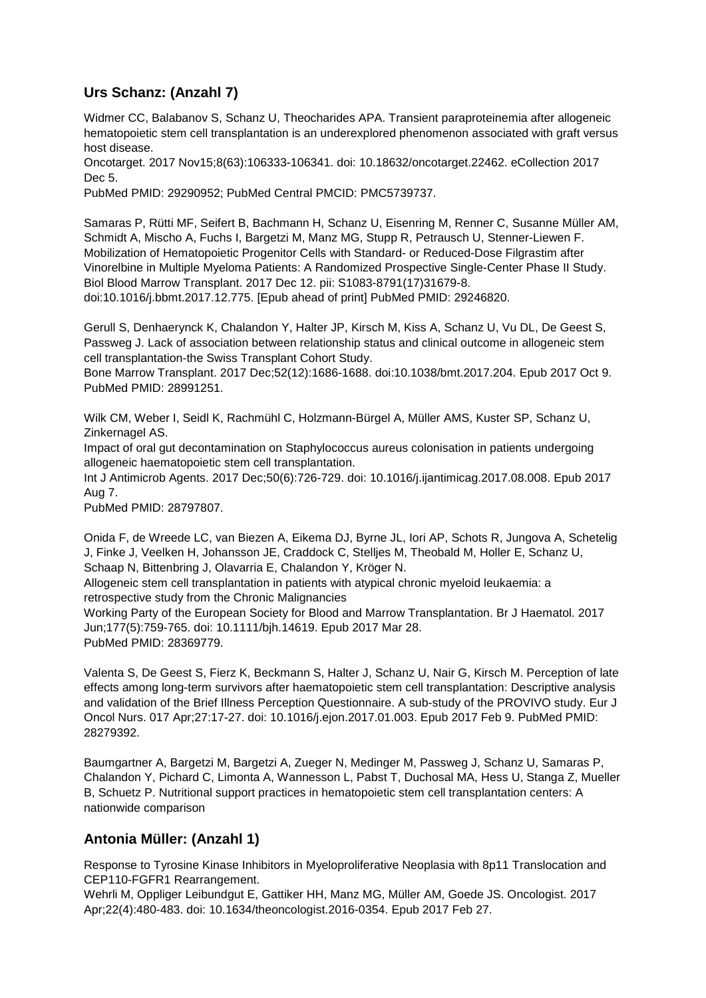# **Urs Schanz: (Anzahl 7)**

Widmer CC, Balabanov S, Schanz U, Theocharides APA. Transient paraproteinemia after allogeneic hematopoietic stem cell transplantation is an underexplored phenomenon associated with graft versus host disease.

Oncotarget. 2017 Nov15;8(63):106333-106341. doi: 10.18632/oncotarget.22462. eCollection 2017 Dec 5.

PubMed PMID: 29290952; PubMed Central PMCID: PMC5739737.

Samaras P, Rütti MF, Seifert B, Bachmann H, Schanz U, Eisenring M, Renner C, Susanne Müller AM, Schmidt A, Mischo A, Fuchs I, Bargetzi M, Manz MG, Stupp R, Petrausch U, Stenner-Liewen F. Mobilization of Hematopoietic Progenitor Cells with Standard- or Reduced-Dose Filgrastim after Vinorelbine in Multiple Myeloma Patients: A Randomized Prospective Single-Center Phase II Study. Biol Blood Marrow Transplant. 2017 Dec 12. pii: S1083-8791(17)31679-8. doi:10.1016/j.bbmt.2017.12.775. [Epub ahead of print] PubMed PMID: 29246820.

Gerull S, Denhaerynck K, Chalandon Y, Halter JP, Kirsch M, Kiss A, Schanz U, Vu DL, De Geest S, Passweg J. Lack of association between relationship status and clinical outcome in allogeneic stem cell transplantation-the Swiss Transplant Cohort Study.

Bone Marrow Transplant. 2017 Dec;52(12):1686-1688. doi:10.1038/bmt.2017.204. Epub 2017 Oct 9. PubMed PMID: 28991251.

Wilk CM, Weber I, Seidl K, Rachmühl C, Holzmann-Bürgel A, Müller AMS, Kuster SP, Schanz U, Zinkernagel AS.

Impact of oral gut decontamination on Staphylococcus aureus colonisation in patients undergoing allogeneic haematopoietic stem cell transplantation.

Int J Antimicrob Agents. 2017 Dec;50(6):726-729. doi: 10.1016/j.ijantimicag.2017.08.008. Epub 2017 Aug 7.

PubMed PMID: 28797807.

Onida F, de Wreede LC, van Biezen A, Eikema DJ, Byrne JL, Iori AP, Schots R, Jungova A, Schetelig J, Finke J, Veelken H, Johansson JE, Craddock C, Stelljes M, Theobald M, Holler E, Schanz U, Schaap N, Bittenbring J, Olavarria E, Chalandon Y, Kröger N.

Allogeneic stem cell transplantation in patients with atypical chronic myeloid leukaemia: a retrospective study from the Chronic Malignancies

Working Party of the European Society for Blood and Marrow Transplantation. Br J Haematol. 2017 Jun;177(5):759-765. doi: 10.1111/bjh.14619. Epub 2017 Mar 28. PubMed PMID: 28369779.

Valenta S, De Geest S, Fierz K, Beckmann S, Halter J, Schanz U, Nair G, Kirsch M. Perception of late effects among long-term survivors after haematopoietic stem cell transplantation: Descriptive analysis and validation of the Brief Illness Perception Questionnaire. A sub-study of the PROVIVO study. Eur J Oncol Nurs. 017 Apr;27:17-27. doi: 10.1016/j.ejon.2017.01.003. Epub 2017 Feb 9. PubMed PMID: 28279392.

Baumgartner A, Bargetzi M, Bargetzi A, Zueger N, Medinger M, Passweg J, Schanz U, Samaras P, Chalandon Y, Pichard C, Limonta A, Wannesson L, Pabst T, Duchosal MA, Hess U, Stanga Z, Mueller B, Schuetz P. Nutritional support practices in hematopoietic stem cell transplantation centers: A nationwide comparison

#### **Antonia Müller: (Anzahl 1)**

Response to Tyrosine Kinase Inhibitors in Myeloproliferative Neoplasia with 8p11 Translocation and CEP110-FGFR1 Rearrangement.

Wehrli M, Oppliger Leibundgut E, Gattiker HH, Manz MG, Müller AM, Goede JS. Oncologist. 2017 Apr;22(4):480-483. doi: 10.1634/theoncologist.2016-0354. Epub 2017 Feb 27.